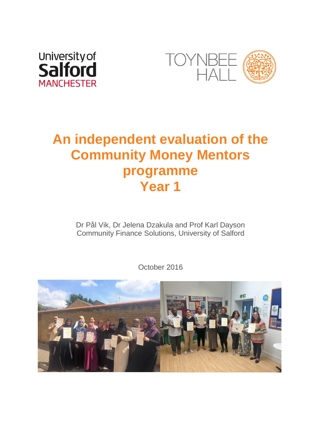



# **An independent evaluation of the Community Money Mentors programme Year 1**

Dr Pål Vik, Dr Jelena Dzakula and Prof Karl Dayson Community Finance Solutions, University of Salford

October 2016

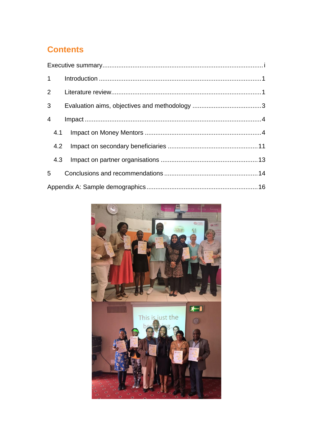# **Contents**

| $\overline{4}$ |  |  |
|----------------|--|--|
|                |  |  |
|                |  |  |
|                |  |  |
|                |  |  |
|                |  |  |

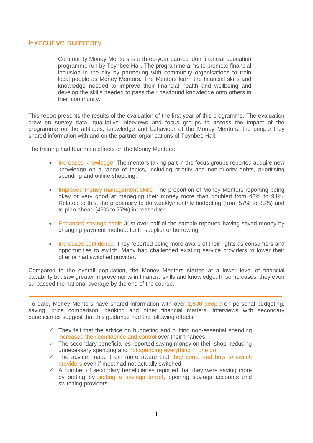## <span id="page-2-0"></span>Executive summary

Community Money Mentors is a three-year pan-London financial education programme run by Toynbee Hall. The programme aims to promote financial inclusion in the city by partnering with community organisations to train local people as Money Mentors. The Mentors learn the financial skills and knowledge needed to improve their financial health and wellbeing and develop the skills needed to pass their newfound knowledge onto others in their community.

This report presents the results of the evaluation of the first year of this programme. The evaluation drew on survey data, qualitative interviews and focus groups to assess the impact of the programme on the attitudes, knowledge and behaviour of the Money Mentors, the people they shared information with and on the partner organisations of Toynbee Hall.

The training had four main effects on the Money Mentors:

- Increased knowledge: The mentors taking part in the focus groups reported acquire new knowledge on a range of topics, including priority and non-priority debts, prioritising spending and online shopping.
- Improved money management skills: The proportion of Money Mentors reporting being okay or very good at managing their money more than doubled from 43% to 94%. Related to this, the propensity to do weekly/monthly budgeting (from 57% to 83%) and to plan ahead (49% to 77%) increased too.
- Enhanced savings habit: Just over half of the sample reported having saved money by changing payment method, tariff, supplier or borrowing.
- Increased confidence: They reported being more aware of their rights as consumers and opportunities to switch. Many had challenged existing service providers to lower their offer or had switched provider.

Compared to the overall population, the Money Mentors started at a lower level of financial capability but saw greater improvements in financial skills and knowledge. In some cases, they even surpassed the national average by the end of the course.

To date, Money Mentors have shared information with over 1,500 people on personal budgeting, saving, price comparison, banking and other financial matters. Interviews with secondary beneficiaries suggest that this guidance had the following effects:

- $\checkmark$  They felt that the advice on budgeting and cutting non-essential spending increased their confidence and control over their finances.
- $\checkmark$  The secondary beneficiaries reported saving money on their shop, reducing unnecessary spending and not spending everything in one go.
- $\checkmark$  The advice, made them more aware that they could and how to switch providers even if most had not actually switched.
- $\checkmark$  A number of secondary beneficiaries reported that they were saving more by setting by setting a savings target, opening savings accounts and switching providers.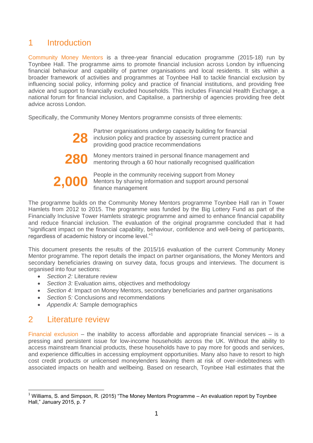## <span id="page-3-0"></span>1 Introduction

Community Money Mentors is a three-year financial education programme (2015-18) run by Toynbee Hall. The programme aims to promote financial inclusion across London by influencing financial behaviour and capability of partner organisations and local residents. It sits within a broader framework of activities and programmes at Toynbee Hall to tackle financial exclusion by influencing social policy, informing policy and practice of financial institutions, and providing free advice and support to financially excluded households. This includes Financial Health Exchange, a national forum for financial inclusion, and Capitalise, a partnership of agencies providing free debt advice across London.

Specifically, the Community Money Mentors programme consists of three elements:

**28** Partner organisations undergo capacity building for financial<br>inclusion policy and practice by assessing current practice are<br>providing good practice recommendations inclusion policy and practice by assessing current practice and providing good practice recommendations



**280** Money mentors trained in personal finance management and mentoring through a 60 hour nationally recognised qualification

**2,000** People in the community receiving support from Money<br>finance management Mentors by sharing information and support around personal finance management

The programme builds on the Community Money Mentors programme Toynbee Hall ran in Tower Hamlets from 2012 to 2015. The programme was funded by the Big Lottery Fund as part of the Financially Inclusive Tower Hamlets strategic programme and aimed to enhance financial capability and reduce financial inclusion. The evaluation of the original programme concluded that it had "significant impact on the financial capability, behaviour, confidence and well-being of participants, regardless of academic history or income level."<sup>1</sup>

This document presents the results of the 2015/16 evaluation of the current Community Money Mentor programme. The report details the impact on partner organisations, the Money Mentors and secondary beneficiaries drawing on survey data, focus groups and interviews. The document is organised into four sections:

- *Section 2:* Literature review
- *Section 3:* Evaluation aims, objectives and methodology
- *Section 4:* Impact on Money Mentors, secondary beneficiaries and partner organisations
- *Section 5:* Conclusions and recommendations
- *Appendix A:* Sample demographics

# <span id="page-3-1"></span>2 Literature review

<u>.</u>

Financial exclusion – the inability to access affordable and appropriate financial services – is a pressing and persistent issue for low-income households across the UK. Without the ability to access mainstream financial products, these households have to pay more for goods and services, and experience difficulties in accessing employment opportunities. Many also have to resort to high cost credit products or unlicensed moneylenders leaving them at risk of over-indebtedness with associated impacts on health and wellbeing. Based on research, Toynbee Hall estimates that the

<sup>&</sup>lt;sup>1</sup> Williams, S. and Simpson, R. (2015) "The Money Mentors Programme – An evaluation report by Toynbee Hall," January 2015, p. 7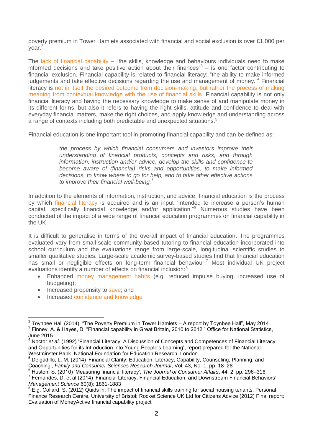poverty premium in Tower Hamlets associated with financial and social exclusion is over £1,000 per year.<sup>2</sup>

The lack of financial capability – "the skills, knowledge and behaviours individuals need to make informed decisions and take positive action about their finances<sup>3</sup>  $-$  is one factor contributing to financial exclusion. Financial capability is related to financial literacy: "the ability to make informed judgements and take effective decisions regarding the use and management of money."<sup>4</sup> Financial literacy is not in itself the desired outcome from decision-making, but rather the process of making meaning from contextual knowledge with the use of financial skills. Financial capability is not only financial literacy and having the necessary knowledge to make sense of and manipulate money in its different forms, but also it refers to having the right skills, attitude and confidence to deal with everyday financial matters, make the right choices, and apply knowledge and understanding across a range of contexts including both predictable and unexpected situations.<sup>5</sup>

Financial education is one important tool in promoting financial capability and can be defined as:

*the process by which financial consumers and investors improve their understanding of financial products, concepts and risks, and through information, instruction and/or advice, develop the skills and confidence to become aware of (financial) risks and opportunities, to make informed decisions, to know where to go for help, and to take other effective actions to improve their financial well-being.<sup>1</sup>*

In addition to the elements of information, instruction, and advice, financial education is the process by which financial literacy is acquired and is an input "intended to increase a person's human capital, specifically financial knowledge and/or application." <sup>6</sup> Numerous studies have been conducted of the impact of a wide range of financial education programmes on financial capability in the UK.

It is difficult to generalise in terms of the overall impact of financial education. The programmes evaluated vary from small-scale community-based tutoring to financial education incorporated into school curriculum and the evaluations range from large-scale, longitudinal scientific studies to smaller qualitative studies. Large-scale academic survey-based studies find that financial education has small or negligible effects on long-term financial behaviour.<sup>7</sup> Most individual UK project evaluations identify a number of effects on financial inclusion: <sup>8</sup>

- Enhanced money management habits (e.g. reduced impulse buying, increased use of budgeting);
- Increased propensity to save; and

1

• Increased confidence and knowledge

 $2$  Toynbee Hall (2014). "The Poverty Premium in Tower Hamlets – A report by Toynbee Hall", May 2014 <sup>3</sup> Finney, A. & Hayes, D. "Financial capability in Great Britain, 2010 to 2012," Office for National Statistics, June 2015.

<sup>4</sup> Noctor *et al*. (1992) 'Financial Literacy: A Discussion of Concepts and Competences of Financial Literacy and Opportunities for its Introduction into Young People's Learning', report prepared for the National Westminster Bank, National Foundation for Education Research, London

<sup>5</sup> Delgadillo, L. M. (2014) 'Financial Clarity: Education, Literacy, Capability, Counseling, Planning, and Coaching', *Family and Consumer Sciences Research Journal*, Vol. 43, No. 1, pp. 18–28

<sup>6</sup> Huston, S. (2010) 'Measuring financial literacy', *The Journal of Consumer Affairs*, 44: 2, pp. 296–316

<sup>&</sup>lt;sup>7</sup> Fernandes, D. et al (2014) 'Financial Literacy, Financial Education, and Downstream Financial Behaviors', *Management Science* 60(8): 1861-1883

 $8$  E.g. Collard, S. (2012) Quids in: The impact of financial skills training for social housing tenants, Personal Finance Research Centre, University of Bristol; Rocket Science UK Ltd for Citizens Advice (2012) Final report: Evaluation of MoneyActive financial capability project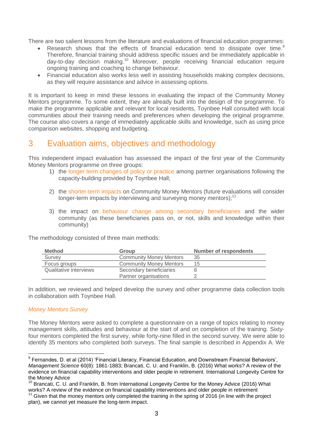There are two salient lessons from the literature and evaluations of financial education programmes:

- Research shows that the effects of financial education tend to dissipate over time. Therefore, financial training should address specific issues and be immediately applicable in day-to-day decision making.<sup>10</sup> Moreover, people receiving financial education require ongoing training and coaching to change behaviour.
- Financial education also works less well in assisting households making complex decisions, as they will require assistance and advice in assessing options.

It is important to keep in mind these lessons in evaluating the impact of the Community Money Mentors programme. To some extent, they are already built into the design of the programme. To make the programme applicable and relevant for local residents, Toynbee Hall consulted with local communities about their training needs and preferences when developing the original programme. The course also covers a range of immediately applicable skills and knowledge, such as using price comparison websites, shopping and budgeting.

# <span id="page-5-0"></span>3 Evaluation aims, objectives and methodology

This independent impact evaluation has assessed the impact of the first year of the Community Money Mentors programme on three groups:

- 1) the longer term changes of policy or practice among partner organisations following the capacity-building provided by Toynbee Hall;
- 2) the shorter-term impacts on Community Money Mentors (future evaluations will consider longer-term impacts by interviewing and surveying money mentors): $<sup>11</sup>$ </sup>
- 3) the impact on behaviour change among secondary beneficiaries and the wider community (as these beneficiaries pass on, or not, skills and knowledge within their community)

| <b>Method</b>          | Group                          | <b>Number of respondents</b> |
|------------------------|--------------------------------|------------------------------|
| Survey                 | <b>Community Money Mentors</b> | 35                           |
| Focus groups           | <b>Community Money Mentors</b> | 15                           |
| Qualitative interviews | Secondary beneficiaries        |                              |
|                        | Partner organisations          |                              |

The methodology consisted of three main methods:

In addition, we reviewed and helped develop the survey and other programme data collection tools in collaboration with Toynbee Hall.

#### *Money Mentors Survey*

1

The Money Mentors were asked to complete a questionnaire on a range of topics relating to money management skills, attitudes and behaviour at the start of and on completion of the training. Sixtyfour mentors completed the first survey, while forty-nine filled in the second survey. We were able to identify 35 mentors who completed both surveys. The final sample is described in Appendix A. We

<sup>&</sup>lt;sup>9</sup> Fernandes, D. et al (2014) 'Financial Literacy, Financial Education, and Downstream Financial Behaviors', *Management Science* 60(8): 1861-1883; Brancati, C. U. and Franklin, B. (2016) What works? A review of the evidence on financial capability interventions and older people in retirement. International Longevity Centre for the Money Advice

<sup>10</sup> Brancati, C. U. and Franklin, B. from International Longevity Centre for the Money Advice (2016) What works? A review of the evidence on financial capability interventions and older people in retirement

 $11$  Given that the money mentors only completed the training in the spring of 2016 (in line with the project plan), we cannot yet measure the long-term impact.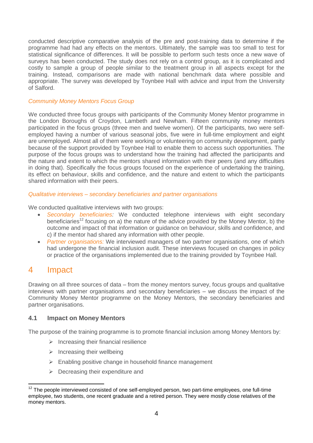conducted descriptive comparative analysis of the pre and post-training data to determine if the programme had had any effects on the mentors. Ultimately, the sample was too small to test for statistical significance of differences. It will be possible to perform such tests once a new wave of surveys has been conducted. The study does not rely on a control group, as it is complicated and costly to sample a group of people similar to the treatment group in all aspects except for the training. Instead, comparisons are made with national benchmark data where possible and appropriate. The survey was developed by Toynbee Hall with advice and input from the University of Salford.

#### *Community Money Mentors Focus Group*

We conducted three focus groups with participants of the Community Money Mentor programme in the London Boroughs of Croydon, Lambeth and Newham. Fifteen community money mentors participated in the focus groups (three men and twelve women). Of the participants, two were selfemployed having a number of various seasonal jobs, five were in full-time employment and eight are unemployed. Almost all of them were working or volunteering on community development, partly because of the support provided by Toynbee Hall to enable them to access such opportunities. The purpose of the focus groups was to understand how the training had affected the participants and the nature and extent to which the mentors shared information with their peers (and any difficulties in doing that). Specifically the focus groups focused on the experience of undertaking the training, its effect on behaviour, skills and confidence, and the nature and extent to which the participants shared information with their peers.

## *Qualitative interviews – secondary beneficiaries and partner organisations*

We conducted qualitative interviews with two groups:

- *Secondary beneficiaries:* We conducted telephone interviews with eight secondary beneficiaries<sup>12</sup> focusing on a) the nature of the advice provided by the Money Mentor, b) the outcome and impact of that information or guidance on behaviour, skills and confidence, and c) if the mentor had shared any information with other people.
- *Partner organisations:* We interviewed managers of two partner organisations, one of which had undergone the financial inclusion audit. These interviews focused on changes in policy or practice of the organisations implemented due to the training provided by Toynbee Hall.

## <span id="page-6-0"></span>4 Impact

Drawing on all three sources of data – from the money mentors survey, focus groups and qualitative interviews with partner organisations and secondary beneficiaries – we discuss the impact of the Community Money Mentor programme on the Money Mentors, the secondary beneficiaries and partner organisations.

## <span id="page-6-1"></span>**4.1 Impact on Money Mentors**

The purpose of the training programme is to promote financial inclusion among Money Mentors by:

- $\triangleright$  Increasing their financial resilience
- $\triangleright$  Increasing their wellbeing
- $\triangleright$  Enabling positive change in household finance management
- $\triangleright$  Decreasing their expenditure and

<sup>1</sup>  $12$  The people interviewed consisted of one self-employed person, two part-time employees, one full-time employee, two students, one recent graduate and a retired person. They were mostly close relatives of the money mentors.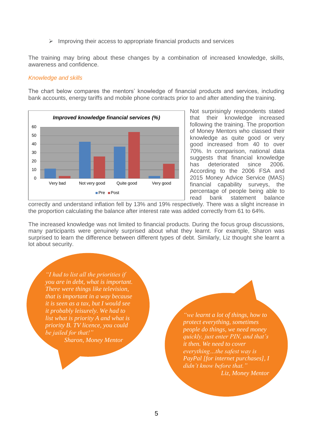$\triangleright$  Improving their access to appropriate financial products and services

The training may bring about these changes by a combination of increased knowledge, skills, awareness and confidence.

#### *Knowledge and skills*

The chart below compares the mentors' knowledge of financial products and services, including bank accounts, energy tariffs and mobile phone contracts prior to and after attending the training.



Not surprisingly respondents stated that their knowledge increased following the training. The proportion of Money Mentors who classed their knowledge as quite good or very good increased from 40 to over 70%. In comparison, national data suggests that financial knowledge has deteriorated since 2006. According to the 2006 FSA and 2015 Money Advice Service (MAS) financial capability surveys, the percentage of people being able to read bank statement balance

correctly and understand inflation fell by 13% and 19% respectively. There was a slight increase in the proportion calculating the balance after interest rate was added correctly from 61 to 64%.

The increased knowledge was not limited to financial products. During the focus group discussions, many participants were genuinely surprised about what they learnt. For example, Sharon was surprised to learn the difference between different types of debt. Similarly, Liz thought she learnt a lot about security.

*"I had to list all the priorities if you are in debt, what is important. There were things like television, that is important in a way because it is seen as a tax, but I would see it probably leisurely. We had to list what is priority A and what is priority B. TV licence, you could be jailed for that!" Sharon, Money Mentor*

*"we learnt a lot of things, how to protect everything, sometimes people do things, we need money quickly, just enter PIN, and that's it then. We need to cover everything…the safest way is PayPal [for internet purchases], I didn't know before that." Liz, Money Mentor*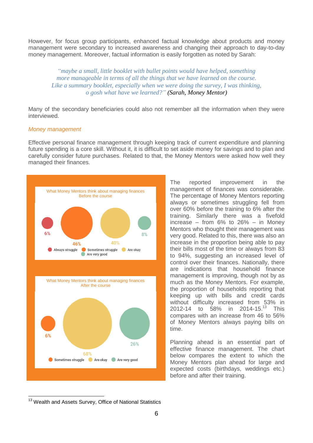However, for focus group participants, enhanced factual knowledge about products and money management were secondary to increased awareness and changing their approach to day-to-day money management. Moreover, factual information is easily forgotten as noted by Sarah:

*"maybe a small, little booklet with bullet points would have helped, something more manageable in terms of all the things that we have learned on the course. Like a summary booklet, especially when we were doing the survey, I was thinking, o gosh what have we learned?" (Sarah, Money Mentor)*

Many of the secondary beneficiaries could also not remember all the information when they were interviewed.

#### *Money management*

Effective personal finance management through keeping track of current expenditure and planning future spending is a core skill. Without it, it is difficult to set aside money for savings and to plan and carefully consider future purchases. Related to that, the Money Mentors were asked how well they managed their finances.



The reported improvement in the management of finances was considerable. The percentage of Money Mentors reporting always or sometimes struggling fell from over 60% before the training to 6% after the training. Similarly there was a fivefold increase – from  $6\%$  to  $26\%$  – in Money Mentors who thought their management was very good. Related to this, there was also an increase in the proportion being able to pay their bills most of the time or always from 83 to 94%, suggesting an increased level of control over their finances. Nationally, there are indications that household finance management is improving, though not by as much as the Money Mentors. For example, the proportion of households reporting that keeping up with bills and credit cards without difficulty increased from 53% in 2012-14 to 58% in 2014-15.<sup>13</sup> This compares with an increase from 46 to 56% of Money Mentors always paying bills on time.

Planning ahead is an essential part of effective finance management. The chart below compares the extent to which the Money Mentors plan ahead for large and expected costs (birthdays, weddings etc.) before and after their training.

1

<sup>&</sup>lt;sup>13</sup> Wealth and Assets Survey, Office of National Statistics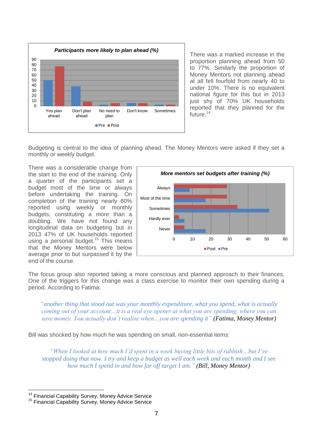

There was a marked increase in the proportion planning ahead from 50 to 77%. Similarly the proportion of Money Mentors not planning ahead at all fell fourfold from nearly 40 to under 10%. There is no equivalent national figure for this but in 2013 just shy of 70% UK households reported that they planned for the future. $14$ 

Budgeting is central to the idea of planning ahead. The Money Mentors were asked if they set a monthly or weekly budget.

There was a considerable change from the start to the end of the training. Only a quarter of the participants set a budget most of the time or always before undertaking the training. On completion of the training nearly 60% reported using weekly or monthly budgets, constituting a more than a doubling. We have not found any longitudinal data on budgeting but in 2013 47% of UK households reported using a personal budget.<sup>15</sup> This means that the Money Mentors were below average prior to but surpassed it by the end of the course.



The focus group also reported taking a more conscious and planned approach to their finances. One of the triggers for this change was a class exercise to monitor their own spending during a period. According to Fatima:

*"another thing that stood out was your monthly expenditure, what you spend, what is actually coming out of your account…it is a real eye opener at what you are spending, where you can save money. You actually don't realise when…you are spending it" (Fatima, Money Mentor)*

Bill was shocked by how much he was spending on small, non-essential items:

*"When I looked at how much I'd spent in a week buying little bits of rubbish…but I've stopped doing that now. I try and keep a budget as well each week and each month and I see how much I spend in and how far off target I am." (Bill, Money Mentor)*

<u>.</u>

<sup>&</sup>lt;sup>14</sup> Financial Capability Survey, Money Advice Service

<sup>&</sup>lt;sup>15</sup> Financial Capability Survey, Money Advice Service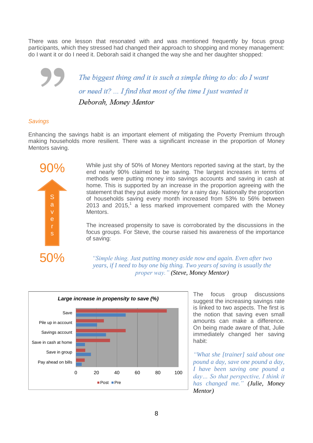There was one lesson that resonated with and was mentioned frequently by focus group participants, which they stressed had changed their approach to shopping and money management: do I want it or do I need it. Deborah said it changed the way she and her daughter shopped:

> The biggest thing and it is such a simple thing to do: do I want or need it? ... I find that most of the time I just wanted it Deborah, Money Mentor

## *Savings*

Enhancing the savings habit is an important element of mitigating the Poverty Premium through making households more resilient. There was a significant increase in the proportion of Money Mentors saving.



90% While just shy of 50% of Money Mentors reported saving at the start, by the end nearly 90% claimed to be saving. The largest increases in terms of methods were putting money into savings accounts and saving in cash at home. This is supported by an increase in the proportion agreeing with the statement that they put aside money for a rainy day. Nationally the proportion of households saving every month increased from 53% to 56% between 2013 and 2015, $1$  a less marked improvement compared with the Money Mentors.

> The increased propensity to save is corroborated by the discussions in the focus groups. For Steve, the course raised his awareness of the importance of saving:

*"Simple thing. Just putting money aside now and again. Even after two years, if I need to buy one big thing. Two years of saving is usually the proper way." (Steve, Money Mentor)*



The focus group discussions suggest the increasing savings rate is linked to two aspects. The first is the notion that saving even small amounts can make a difference. On being made aware of that, Julie immediately changed her saving habit:

*"What she [trainer] said about one pound a day, save one pound a day, I have been saving one pound a day… So that perspective, I think it has changed me." (Julie, Money Mentor)*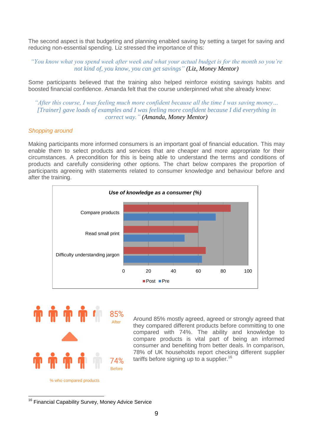The second aspect is that budgeting and planning enabled saving by setting a target for saving and reducing non-essential spending. Liz stressed the importance of this:

*"You know what you spend week after week and what your actual budget is for the month so you're not kind of, you know, you can get savings" (Liz, Money Mentor)*

Some participants believed that the training also helped reinforce existing savings habits and boosted financial confidence. Amanda felt that the course underpinned what she already knew:

*"After this course, I was feeling much more confident because all the time I was saving money… [Trainer] gave loads of examples and I was feeling more confident because I did everything in correct way." (Amanda, Money Mentor)*

#### *Shopping around*

Making participants more informed consumers is an important goal of financial education. This may enable them to select products and services that are cheaper and more appropriate for their circumstances. A precondition for this is being able to understand the terms and conditions of products and carefully considering other options. The chart below compares the proportion of participants agreeing with statements related to consumer knowledge and behaviour before and after the training.





Around 85% mostly agreed, agreed or strongly agreed that they compared different products before committing to one compared with 74%. The ability and knowledge to compare products is vital part of being an informed consumer and benefiting from better deals. In comparison, 78% of UK households report checking different supplier tariffs before signing up to a supplier.<sup>16</sup>

<sup>1</sup> <sup>16</sup> Financial Capability Survey, Money Advice Service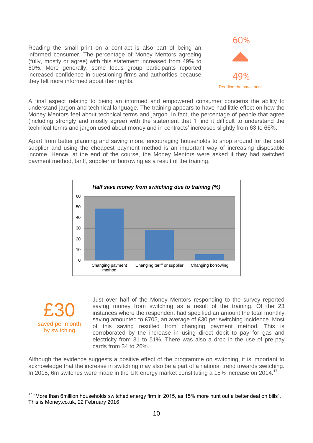Reading the small print on a contract is also part of being an informed consumer. The percentage of Money Mentors agreeing (fully, mostly or agree) with this statement increased from 49% to 60%. More generally, some focus group participants reported increased confidence in questioning firms and authorities because they felt more informed about their rights.



A final aspect relating to being an informed and empowered consumer concerns the ability to understand jargon and technical language. The training appears to have had little effect on how the Money Mentors feel about technical terms and jargon. In fact, the percentage of people that agree (including strongly and mostly agree) with the statement that 'I find it difficult to understand the technical terms and jargon used about money and in contracts' increased slightly from 63 to 66%.

Apart from better planning and saving more, encouraging households to shop around for the best supplier and using the cheapest payment method is an important way of increasing disposable income. Hence, at the end of the course, the Money Mentors were asked if they had switched payment method, tariff, supplier or borrowing as a result of the training.



£30 saved per month by switching

<u>.</u>

Just over half of the Money Mentors responding to the survey reported saving money from switching as a result of the training. Of the 23 instances where the respondent had specified an amount the total monthly saving amounted to £705, an average of £30 per switching incidence. Most of this saving resulted from changing payment method. This is corroborated by the increase in using direct debit to pay for gas and electricity from 31 to 51%. There was also a drop in the use of pre-pay cards from 34 to 26%.

Although the evidence suggests a positive effect of the programme on switching, it is important to acknowledge that the increase in switching may also be a part of a national trend towards switching. In 2015, 6m switches were made in the UK energy market constituting a 15% increase on 2014.<sup>17</sup>

<sup>&</sup>lt;sup>17</sup> "More than 6million households switched energy firm in 2015, as 15% more hunt out a better deal on bills", This is Money.co.uk, 22 February 2016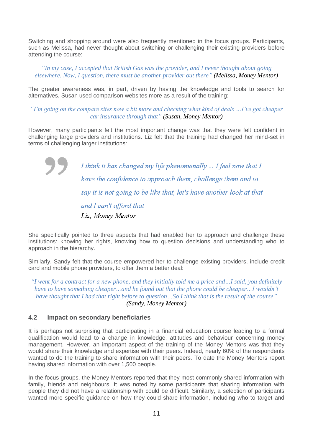Switching and shopping around were also frequently mentioned in the focus groups. Participants, such as Melissa, had never thought about switching or challenging their existing providers before attending the course:

*"In my case, I accepted that British Gas was the provider, and I never thought about going elsewhere. Now, I question, there must be another provider out there" (Melissa, Money Mentor)*

The greater awareness was, in part, driven by having the knowledge and tools to search for alternatives. Susan used comparison websites more as a result of the training:

*"I'm going on the compare sites now a bit more and checking what kind of deals …I've got cheaper car insurance through that" (Susan, Money Mentor)*

However, many participants felt the most important change was that they were felt confident in challenging large providers and institutions. Liz felt that the training had changed her mind-set in terms of challenging larger institutions:

> I think it has changed my life phenomenally ... I feel now that I have the confidence to approach them, challenge them and to say it is not going to be like that, let's have another look at that and I can't afford that Liz, Money Mentor

She specifically pointed to three aspects that had enabled her to approach and challenge these institutions: knowing her rights, knowing how to question decisions and understanding who to approach in the hierarchy.

Similarly, Sandy felt that the course empowered her to challenge existing providers, include credit card and mobile phone providers, to offer them a better deal:

*"I went for a contract for a new phone, and they initially told me a price and…I said, you definitely have to have something cheaper…and he found out that the phone could be cheaper…I wouldn't have thought that I had that right before to question…So I think that is the result of the course" (Sandy, Money Mentor)*

## <span id="page-13-0"></span>**4.2 Impact on secondary beneficiaries**

It is perhaps not surprising that participating in a financial education course leading to a formal qualification would lead to a change in knowledge, attitudes and behaviour concerning money management. However, an important aspect of the training of the Money Mentors was that they would share their knowledge and expertise with their peers. Indeed, nearly 60% of the respondents wanted to do the training to share information with their peers. To date the Money Mentors report having shared information with over 1,500 people.

In the focus groups, the Money Mentors reported that they most commonly shared information with family, friends and neighbours. It was noted by some participants that sharing information with people they did not have a relationship with could be difficult. Similarly, a selection of participants wanted more specific guidance on how they could share information, including who to target and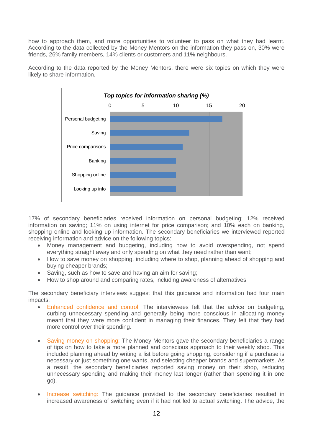how to approach them, and more opportunities to volunteer to pass on what they had learnt. According to the data collected by the Money Mentors on the information they pass on, 30% were friends, 26% family members, 14% clients or customers and 11% neighbours.



According to the data reported by the Money Mentors, there were six topics on which they were likely to share information.

17% of secondary beneficiaries received information on personal budgeting; 12% received information on saving; 11% on using internet for price comparison; and 10% each on banking, shopping online and looking up information. The secondary beneficiaries we interviewed reported receiving information and advice on the following topics:

- Money management and budgeting, including how to avoid overspending, not spend everything straight away and only spending on what they need rather than want;
- How to save money on shopping, including where to shop, planning ahead of shopping and buying cheaper brands;
- Saving, such as how to save and having an aim for saving;
- How to shop around and comparing rates, including awareness of alternatives

The secondary beneficiary interviews suggest that this guidance and information had four main impacts:

- Enhanced confidence and control: The interviewees felt that the advice on budgeting, curbing unnecessary spending and generally being more conscious in allocating money meant that they were more confident in managing their finances. They felt that they had more control over their spending.
- Saving money on shopping: The Money Mentors gave the secondary beneficiaries a range of tips on how to take a more planned and conscious approach to their weekly shop. This included planning ahead by writing a list before going shopping, considering if a purchase is necessary or just something one wants, and selecting cheaper brands and supermarkets. As a result, the secondary beneficiaries reported saving money on their shop, reducing unnecessary spending and making their money last longer (rather than spending it in one go).
- Increase switching: The guidance provided to the secondary beneficiaries resulted in increased awareness of switching even if it had not led to actual switching. The advice, the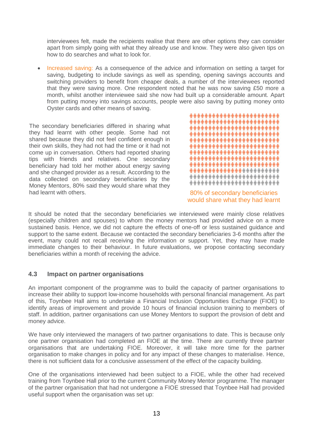interviewees felt, made the recipients realise that there are other options they can consider apart from simply going with what they already use and know. They were also given tips on how to do searches and what to look for.

 Increased saving: As a consequence of the advice and information on setting a target for saving, budgeting to include savings as well as spending, opening savings accounts and switching providers to benefit from cheaper deals, a number of the interviewees reported that they were saving more. One respondent noted that he was now saving £50 more a month, whilst another interviewee said she now had built up a considerable amount. Apart from putting money into savings accounts, people were also saving by putting money onto Oyster cards and other means of saving.

The secondary beneficiaries differed in sharing what they had learnt with other people. Some had not shared because they did not feel confident enough in their own skills, they had not had the time or it had not come up in conversation. Others had reported sharing tips with friends and relatives. One secondary beneficiary had told her mother about energy saving and she changed provider as a result. According to the data collected on secondary beneficiaries by the Money Mentors, 80% said they would share what they had learnt with others.



80% of secondary beneficiaries would share what they had learnt

It should be noted that the secondary beneficiaries we interviewed were mainly close relatives (especially children and spouses) to whom the money mentors had provided advice on a more sustained basis. Hence, we did not capture the effects of one-off or less sustained guidance and support to the same extent. Because we contacted the secondary beneficiaries 3-6 months after the event, many could not recall receiving the information or support. Yet, they may have made immediate changes to their behaviour. In future evaluations, we propose contacting secondary beneficiaries within a month of receiving the advice.

## <span id="page-15-0"></span>**4.3 Impact on partner organisations**

An important component of the programme was to build the capacity of partner organisations to increase their ability to support low-income households with personal financial management. As part of this, Toynbee Hall aims to undertake a Financial Inclusion Opportunities Exchange (FIOE) to identify areas of improvement and provide 10 hours of financial inclusion training to members of staff. In addition, partner organisations can use Money Mentors to support the provision of debt and money advice.

We have only interviewed the managers of two partner organisations to date. This is because only one partner organisation had completed an FIOE at the time. There are currently three partner organisations that are undertaking FIOE. Moreover, it will take more time for the partner organisation to make changes in policy and for any impact of these changes to materialise. Hence, there is not sufficient data for a conclusive assessment of the effect of the capacity building.

One of the organisations interviewed had been subject to a FIOE, while the other had received training from Toynbee Hall prior to the current Community Money Mentor programme. The manager of the partner organisation that had not undergone a FIOE stressed that Toynbee Hall had provided useful support when the organisation was set up: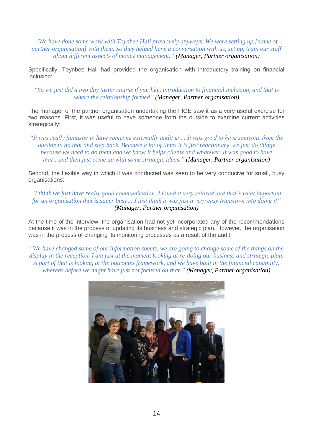*"We have done some work with Toynbee Hall previously anyways. We were setting up [name of partner organisation] with them. So they helped have a conversation with us, set up, train our staff about different aspects of money management." (Manager, Partner organisation)*

Specifically, Toynbee Hall had provided the organisation with introductory training on financial inclusion:

*"So we just did a two day taster course if you like, introduction to financial inclusion, and that is where the relationship formed" (Manager, Partner organisation)*

The manager of the partner organisation undertaking the FIOE saw it as a very useful exercise for two reasons. First, it was useful to have someone from the outside to examine current activities strategically:

*"It was really fantastic to have someone externally audit us… It was good to have someone from the outside to do that and step back. Because a lot of times it is just reactionary, we just do things because we need to do them and we know it helps clients and whatever. It was good to have that…and then just come up with some strategic ideas." (Manager, Partner organisation)*

Second, the flexible way in which it was conducted was seen to be very conducive for small, busy organisations:

*"I think we just have really good communication. I found it very relaxed and that's what important for an organisation that is super busy… I just think it was just a very easy transition into doing it" (Manager, Partner organisation)*

At the time of the interview, the organisation had not yet incorporated any of the recommendations because it was in the process of updating its business and strategic plan. However, the organisation was in the process of changing its monitoring processes as a result of the audit:

<span id="page-16-0"></span>*"We have changed some of our information sheets, we are going to change some of the things on the display in the reception. I am just at the moment looking at re-doing our business and strategic plan. A part of that is looking at the outcomes framework, and we have built in the financial capability, whereas before we might have just not focused on that." (Manager, Partner organisation)*

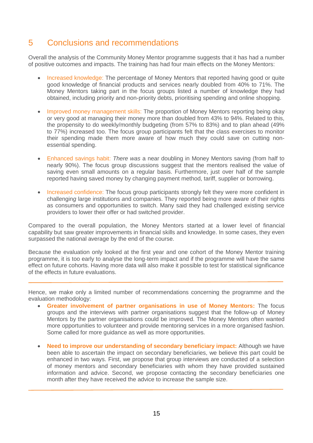## 5 Conclusions and recommendations

Overall the analysis of the Community Money Mentor programme suggests that it has had a number of positive outcomes and impacts. The training has had four main effects on the Money Mentors:

- Increased knowledge: The percentage of Money Mentors that reported having good or quite good knowledge of financial products and services nearly doubled from 40% to 71%. The Money Mentors taking part in the focus groups listed a number of knowledge they had obtained, including priority and non-priority debts, prioritising spending and online shopping.
- Improved money management skills: The proportion of Money Mentors reporting being okay or very good at managing their money more than doubled from 43% to 94%. Related to this, the propensity to do weekly/monthly budgeting (from 57% to 83%) and to plan ahead (49% to 77%) increased too. The focus group participants felt that the class exercises to monitor their spending made them more aware of how much they could save on cutting nonessential spending.
- Enhanced savings habit: *There was* a near doubling in Money Mentors saving (from half to nearly 90%). The focus group discussions suggest that the mentors realised the value of saving even small amounts on a regular basis. Furthermore, just over half of the sample reported having saved money by changing payment method, tariff, supplier or borrowing.
- Increased confidence: The focus group participants strongly felt they were more confident in challengin*g* large institutions *an*d companies. They reported being more aware of their rights as consumers and opportunities to switch. Many said they had challenged existing service providers to lower their offer or had switched provider.

Compared to the overall population, the Money Mentors started at a lower level of financial capability but saw greater improvements in financial skills and knowledge. In some cases, they even surpassed the national average by the end of the course.

Because the evaluation only looked at the first year and one cohort of the Money Mentor training programme, it is too early to analyse the long-term impact and if the programme will have the same effect on future cohorts. Having more data will also make it possible to test for statistical significance of the effects in future evaluations.

Hence, we make only a limited number of recommendations concerning the programme and the evaluation methodology:

- **Greater involvement of partner organisations in use of Money Mentors:** The focus groups and the interviews with partner organisations suggest that the follow-up of Money Mentors by the partner organisations could be improved. The Money Mentors often wanted more opportunities to volunteer and provide mentoring services in a more organised fashion. Some called for more guidance as well as more opportunities.
- **Need to improve our understanding of secondary beneficiary impact:** Although we have been able to ascertain the impact on secondary beneficiaries, we believe this part could be enhanced in two ways. First, we propose that group interviews are conducted of a selection of money mentors and secondary beneficiaries with whom they have provided sustained information and advice. Second, we propose contacting the secondary beneficiaries one month after they have received the advice to increase the sample size.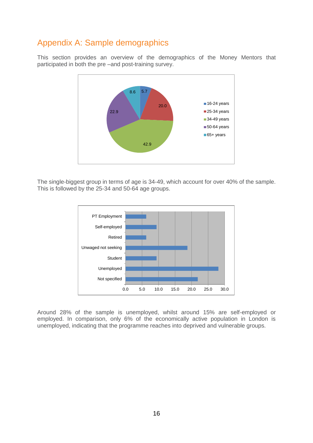# <span id="page-18-0"></span>Appendix A: Sample demographics

This section provides an overview of the demographics of the Money Mentors that participated in both the pre –and post-training survey.



The single-biggest group in terms of age is 34-49, which account for over 40% of the sample. This is followed by the 25-34 and 50-64 age groups.



Around 28% of the sample is unemployed, whilst around 15% are self-employed or employed. In comparison, only 6% of the economically active population in London is unemployed, indicating that the programme reaches into deprived and vulnerable groups.